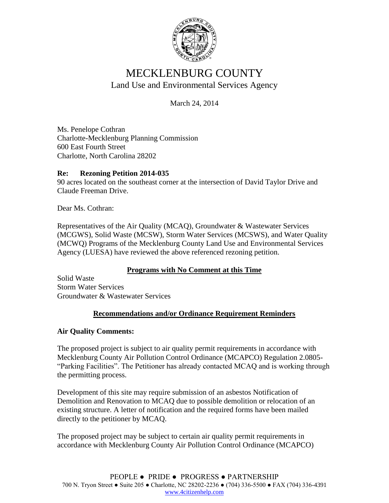

# MECKLENBURG COUNTY Land Use and Environmental Services Agency

March 24, 2014

Ms. Penelope Cothran Charlotte-Mecklenburg Planning Commission 600 East Fourth Street Charlotte, North Carolina 28202

## **Re: Rezoning Petition 2014-035**

90 acres located on the southeast corner at the intersection of David Taylor Drive and Claude Freeman Drive.

Dear Ms. Cothran:

Representatives of the Air Quality (MCAQ), Groundwater & Wastewater Services (MCGWS), Solid Waste (MCSW), Storm Water Services (MCSWS), and Water Quality (MCWQ) Programs of the Mecklenburg County Land Use and Environmental Services Agency (LUESA) have reviewed the above referenced rezoning petition.

# **Programs with No Comment at this Time**

Solid Waste Storm Water Services Groundwater & Wastewater Services

# **Recommendations and/or Ordinance Requirement Reminders**

#### **Air Quality Comments:**

The proposed project is subject to air quality permit requirements in accordance with Mecklenburg County Air Pollution Control Ordinance (MCAPCO) Regulation 2.0805- "Parking Facilities". The Petitioner has already contacted MCAQ and is working through the permitting process.

Development of this site may require submission of an asbestos Notification of Demolition and Renovation to MCAQ due to possible demolition or relocation of an existing structure. A letter of notification and the required forms have been mailed directly to the petitioner by MCAQ.

The proposed project may be subject to certain air quality permit requirements in accordance with Mecklenburg County Air Pollution Control Ordinance (MCAPCO)